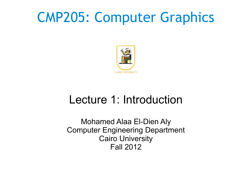## CMP205: Computer Graphics



#### Lecture 1: Introduction

Mohamed Alaa El-Dien Aly Computer Engineering Department Cairo University Fall 2012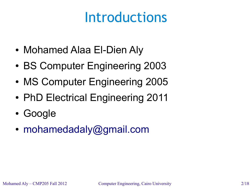# Introductions

- Mohamed Alaa El-Dien Aly
- BS Computer Engineering 2003
- MS Computer Engineering 2005
- PhD Electrical Engineering 2011
- Google
- [mohamedadaly@gmail.com](mailto:mohamedadaly@gmail.com)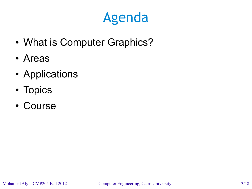# Agenda

- What is Computer Graphics?
- Areas
- Applications
- Topics
- Course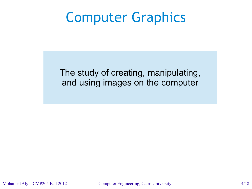#### Computer Graphics

The study of creating, manipulating, and using images on the computer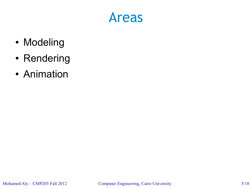#### Areas

- Modeling
- Rendering
- Animation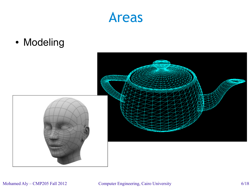#### Areas

• Modeling



#### Mohamed Aly – CMP205 Fall 2012 Computer Engineering, Cairo University 6/18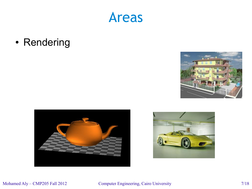

• Rendering





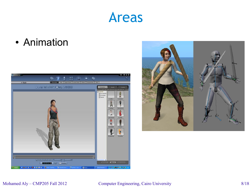#### Areas

• Animation





#### Mohamed Aly – CMP205 Fall 2012 Computer Engineering, Cairo University 8/18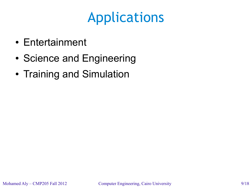- Entertainment
- Science and Engineering
- Training and Simulation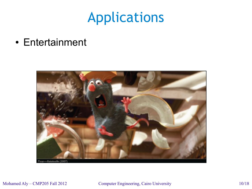• Entertainment

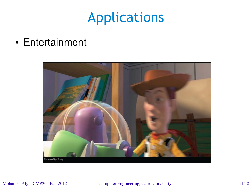• Entertainment

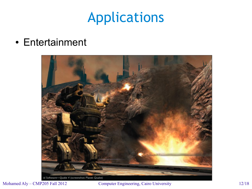• Entertainment



id Software-Quake 4 (screenshot: Planet Quake)

Mohamed Aly – CMP205 Fall 2012 Computer Engineering, Cairo University 12/18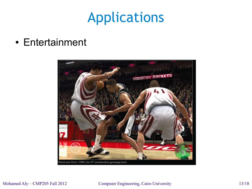• Entertainment



#### Mohamed Aly – CMP205 Fall 2012 Computer Engineering, Cairo University 13/18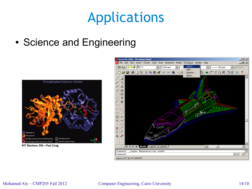• Science and Engineering





#### Mohamed Aly – CMP205 Fall 2012 Computer Engineering, Cairo University 14/18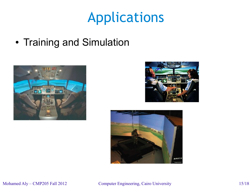• Training and Simulation





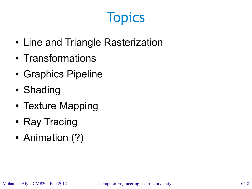# **Topics**

- Line and Triangle Rasterization
- Transformations
- Graphics Pipeline
- Shading
- Texture Mapping
- Ray Tracing
- Animation (?)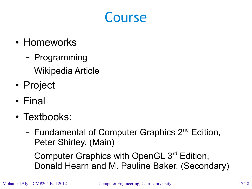#### Course

- Homeworks
	- Programming
	- Wikipedia Article
- Project
- Final
- Textbooks:
	- Fundamental of Computer Graphics 2<sup>nd</sup> Edition. Peter Shirley. (Main)
	- Computer Graphics with OpenGL 3<sup>rd</sup> Edition, Donald Hearn and M. Pauline Baker. (Secondary)